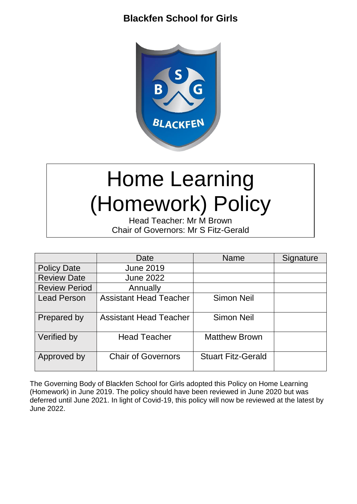## **Blackfen School for Girls**



# Home Learning (Homework) Policy

Head Teacher: Mr M Brown Chair of Governors: Mr S Fitz-Gerald

|                      | Date                          | <b>Name</b>               | Signature |
|----------------------|-------------------------------|---------------------------|-----------|
| <b>Policy Date</b>   | <b>June 2019</b>              |                           |           |
| <b>Review Date</b>   | <b>June 2022</b>              |                           |           |
| <b>Review Period</b> | Annually                      |                           |           |
| <b>Lead Person</b>   | <b>Assistant Head Teacher</b> | <b>Simon Neil</b>         |           |
| Prepared by          | <b>Assistant Head Teacher</b> | <b>Simon Neil</b>         |           |
| Verified by          | <b>Head Teacher</b>           | <b>Matthew Brown</b>      |           |
| Approved by          | <b>Chair of Governors</b>     | <b>Stuart Fitz-Gerald</b> |           |

The Governing Body of Blackfen School for Girls adopted this Policy on Home Learning (Homework) in June 2019. The policy should have been reviewed in June 2020 but was deferred until June 2021. In light of Covid-19, this policy will now be reviewed at the latest by June 2022.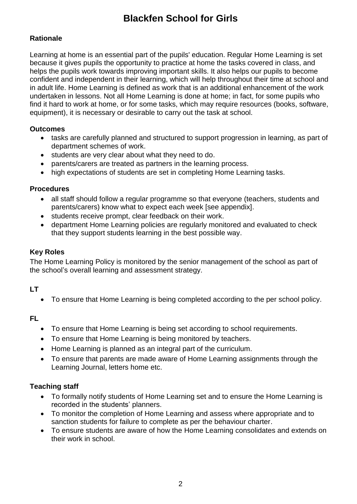# **Blackfen School for Girls**

### **Rationale**

Learning at home is an essential part of the pupils' education. Regular Home Learning is set because it gives pupils the opportunity to practice at home the tasks covered in class, and helps the pupils work towards improving important skills. It also helps our pupils to become confident and independent in their learning, which will help throughout their time at school and in adult life. Home Learning is defined as work that is an additional enhancement of the work undertaken in lessons. Not all Home Learning is done at home; in fact, for some pupils who find it hard to work at home, or for some tasks, which may require resources (books, software, equipment), it is necessary or desirable to carry out the task at school.

### **Outcomes**

- tasks are carefully planned and structured to support progression in learning, as part of department schemes of work.
- students are very clear about what they need to do.
- parents/carers are treated as partners in the learning process.
- high expectations of students are set in completing Home Learning tasks.

### **Procedures**

- all staff should follow a regular programme so that everyone (teachers, students and parents/carers) know what to expect each week [see appendix].
- students receive prompt, clear feedback on their work.
- department Home Learning policies are regularly monitored and evaluated to check that they support students learning in the best possible way.

### **Key Roles**

The Home Learning Policy is monitored by the senior management of the school as part of the school's overall learning and assessment strategy.

### **LT**

To ensure that Home Learning is being completed according to the per school policy.

### **FL**

- To ensure that Home Learning is being set according to school requirements.
- To ensure that Home Learning is being monitored by teachers.
- Home Learning is planned as an integral part of the curriculum.
- To ensure that parents are made aware of Home Learning assignments through the Learning Journal, letters home etc.

### **Teaching staff**

- To formally notify students of Home Learning set and to ensure the Home Learning is recorded in the students' planners.
- To monitor the completion of Home Learning and assess where appropriate and to sanction students for failure to complete as per the behaviour charter.
- To ensure students are aware of how the Home Learning consolidates and extends on their work in school.